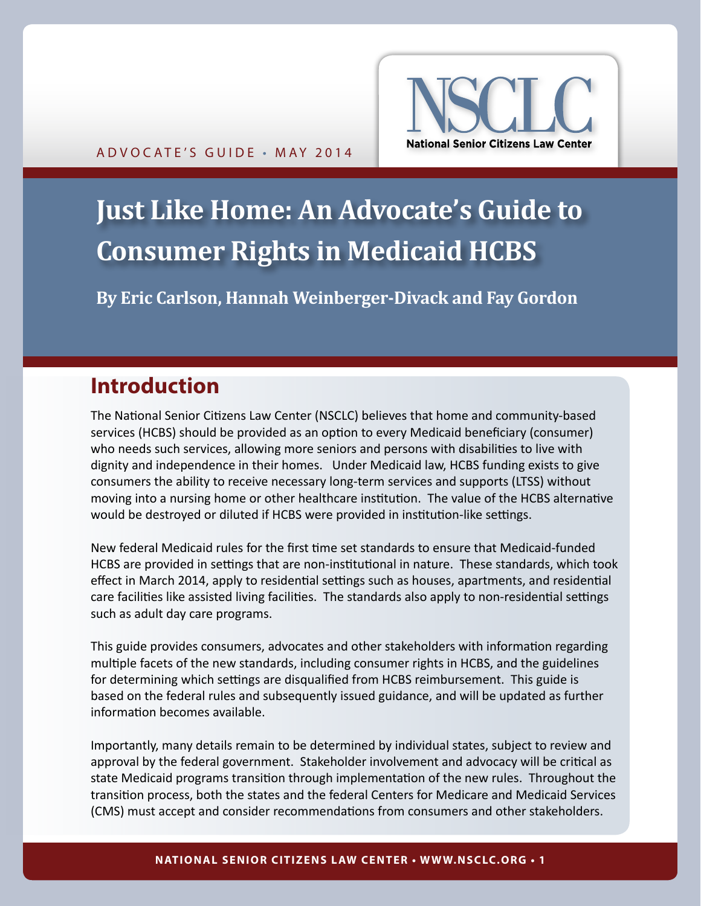

# <span id="page-0-0"></span>**Just Like Home: An Advocate's Guide to Consumer Rights in Medicaid HCBS**

**By Eric Carlson, Hannah Weinberger-Divack and Fay Gordon**

# **Introduction**

The National Senior Citizens Law Center (NSCLC) believes that home and community-based services (HCBS) should be provided as an option to every Medicaid beneficiary (consumer) who needs such services, allowing more seniors and persons with disabilities to live with dignity and independence in their homes. Under Medicaid law, HCBS funding exists to give consumers the ability to receive necessary long-term services and supports (LTSS) without moving into a nursing home or other healthcare institution. The value of the HCBS alternative would be destroyed or diluted if HCBS were provided in institution-like settings.

New federal Medicaid rules for the first time set standards to ensure that Medicaid-funded HCBS are provided in settings that are non-institutional in nature. These standards, which took effect in March 2014, apply to residential settings such as houses, apartments, and residential care facilities like assisted living facilities. The standards also apply to non-residential settings such as adult day care programs.

This guide provides consumers, advocates and other stakeholders with information regarding multiple facets of the new standards, including consumer rights in HCBS, and the guidelines for determining which settings are disqualified from HCBS reimbursement. This guide is based on the federal rules and subsequently issued guidance, and will be updated as further information becomes available.

Importantly, many details remain to be determined by individual states, subject to review and approval by the federal government. Stakeholder involvement and advocacy will be critical as state Medicaid programs transition through implementation of the new rules. Throughout the transition process, both the states and the federal Centers for Medicare and Medicaid Services (CMS) must accept and consider recommendations from consumers and other stakeholders.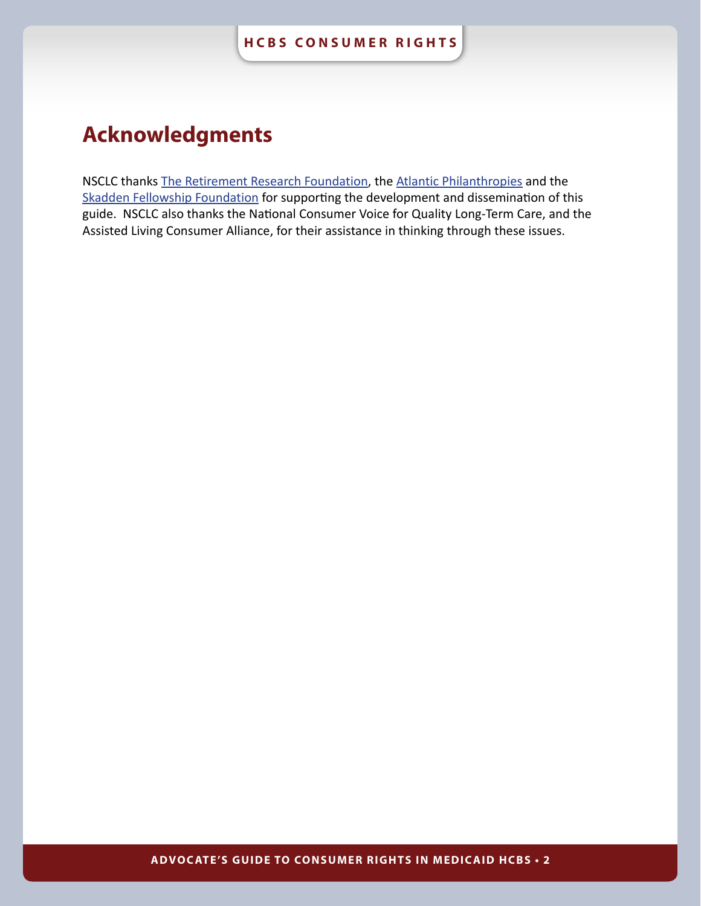# <span id="page-1-0"></span>**Acknowledgments**

NSCLC thanks [The Retirement Research Foundation,](http://www.rrf.org/) [the Atlantic Philanthropies](http://www.atlanticphilanthropies.org/) and the [Skadden Fellowship Foundation](http://www.skaddenfellowships.org/) for supporting the development and dissemination of this guide. NSCLC also thanks the National Consumer Voice for Quality Long-Term Care, and the Assisted Living Consumer Alliance, for their assistance in thinking through these issues.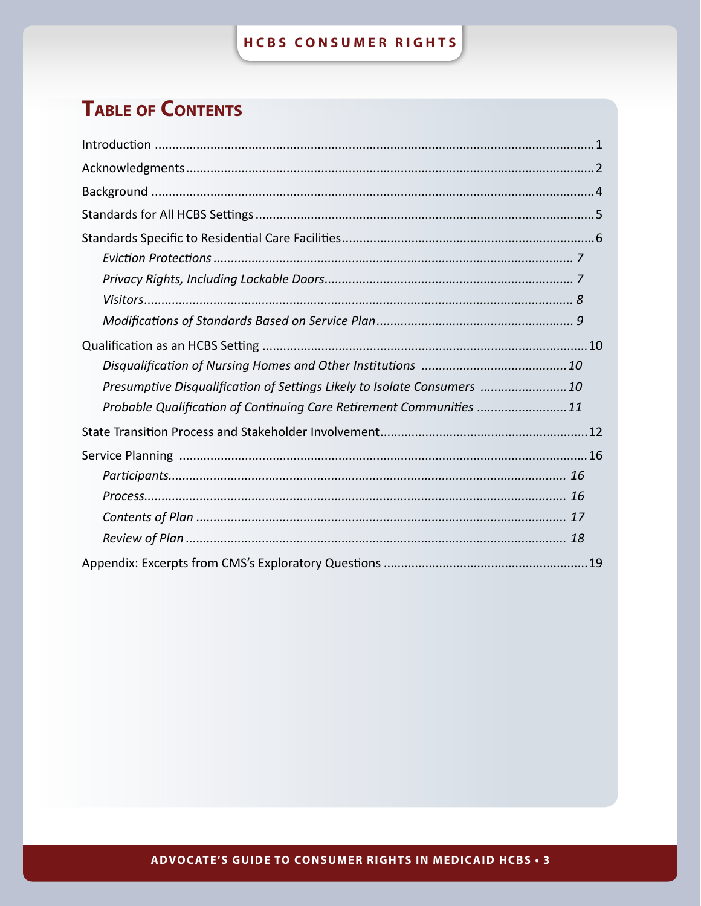# **TABLE OF CONTENTS**

| Presumptive Disqualification of Settings Likely to Isolate Consumers  10 |
|--------------------------------------------------------------------------|
| Probable Qualification of Continuing Care Retirement Communities  11     |
|                                                                          |
|                                                                          |
|                                                                          |
|                                                                          |
|                                                                          |
|                                                                          |
|                                                                          |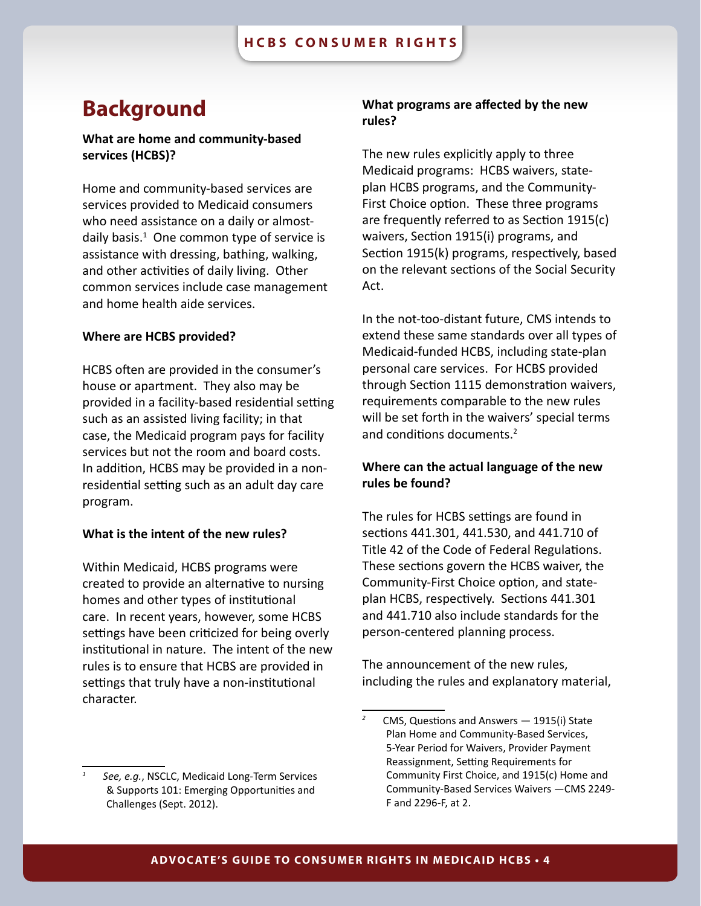# <span id="page-3-0"></span>**Background**

# **What are home and community-based services (HCBS)?**

Home and community-based services are services provided to Medicaid consumers who need assistance on a daily or almostdaily basis. $1$  One common type of service is assistance with dressing, bathing, walking, and other activities of daily living. Other common services include case management and home health aide services.

### **Where are HCBS provided?**

HCBS often are provided in the consumer's house or apartment. They also may be provided in a facility-based residential setting such as an assisted living facility; in that case, the Medicaid program pays for facility services but not the room and board costs. In addition, HCBS may be provided in a nonresidential setting such as an adult day care program.

### **What is the intent of the new rules?**

Within Medicaid, HCBS programs were created to provide an alternative to nursing homes and other types of institutional care. In recent years, however, some HCBS settings have been criticized for being overly institutional in nature. The intent of the new rules is to ensure that HCBS are provided in settings that truly have a non-institutional character.

# **What programs are affected by the new rules?**

The new rules explicitly apply to three Medicaid programs: HCBS waivers, stateplan HCBS programs, and the Community-First Choice option. These three programs are frequently referred to as Section 1915(c) waivers, Section 1915(i) programs, and Section 1915(k) programs, respectively, based on the relevant sections of the Social Security Act.

In the not-too-distant future, CMS intends to extend these same standards over all types of Medicaid-funded HCBS, including state-plan personal care services. For HCBS provided through Section 1115 demonstration waivers, requirements comparable to the new rules will be set forth in the waivers' special terms and conditions documents.<sup>2</sup>

# **Where can the actual language of the new rules be found?**

The rules for HCBS settings are found in sections 441.301, 441.530, and 441.710 of Title 42 of the Code of Federal Regulations. These sections govern the HCBS waiver, the Community-First Choice option, and stateplan HCBS, respectively. Sections 441.301 and 441.710 also include standards for the person-centered planning process.

The announcement of the new rules, including the rules and explanatory material,

*<sup>1</sup> See, e.g.*, NSCLC, Medicaid Long-Term Services & Supports 101: Emerging Opportunities and Challenges (Sept. 2012).

*<sup>2</sup>* CMS, Questions and Answers — 1915(i) State Plan Home and Community-Based Services, 5-Year Period for Waivers, Provider Payment Reassignment, Setting Requirements for Community First Choice, and 1915(c) Home and Community-Based Services Waivers —CMS 2249- F and 2296-F, at 2.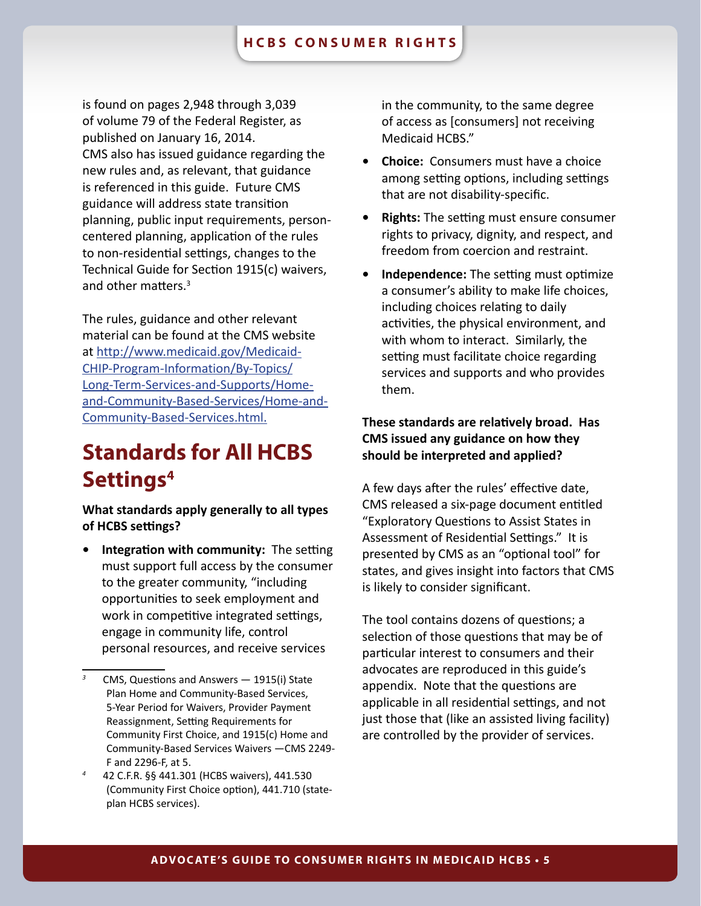<span id="page-4-0"></span>is found on pages 2,948 through 3,039 of volume 79 of the Federal Register, as published on January 16, 2014. CMS also has issued guidance regarding the new rules and, as relevant, that guidance is referenced in this guide. Future CMS guidance will address state transition planning, public input requirements, personcentered planning, application of the rules to non-residential settings, changes to the Technical Guide for Section 1915(c) waivers, and other matters.3

The rules, guidance and other relevant material can be found at the CMS website at [http://www.medicaid.gov/Medicaid-](http://www.medicaid.gov/Medicaid-CHIP-Program-Information/By-Topics/Long-Term-Services-and-Supports/Home-and-Community-Based-Services/Home-and-Community-Based-Services.html)[CHIP-Program-Information/By-Topics/](http://www.medicaid.gov/Medicaid-CHIP-Program-Information/By-Topics/Long-Term-Services-and-Supports/Home-and-Community-Based-Services/Home-and-Community-Based-Services.html) [Long-Term-Services-and-Supports/Home](http://www.medicaid.gov/Medicaid-CHIP-Program-Information/By-Topics/Long-Term-Services-and-Supports/Home-and-Community-Based-Services/Home-and-Community-Based-Services.html)[and-Community-Based-Services/Home-and-](http://www.medicaid.gov/Medicaid-CHIP-Program-Information/By-Topics/Long-Term-Services-and-Supports/Home-and-Community-Based-Services/Home-and-Community-Based-Services.html)[Community-Based-Services.html.](http://www.medicaid.gov/Medicaid-CHIP-Program-Information/By-Topics/Long-Term-Services-and-Supports/Home-and-Community-Based-Services/Home-and-Community-Based-Services.html)

# **Standards for All HCBS Settings4**

**What standards apply generally to all types of HCBS settings?**

**• Integration with community:** The setting must support full access by the consumer to the greater community, "including opportunities to seek employment and work in competitive integrated settings, engage in community life, control personal resources, and receive services

in the community, to the same degree of access as [consumers] not receiving Medicaid HCBS."

- **• Choice:** Consumers must have a choice among setting options, including settings that are not disability-specific.
- **• Rights:** The setting must ensure consumer rights to privacy, dignity, and respect, and freedom from coercion and restraint.
- **• Independence:** The setting must optimize a consumer's ability to make life choices, including choices relating to daily activities, the physical environment, and with whom to interact. Similarly, the setting must facilitate choice regarding services and supports and who provides them.

# **These standards are relatively broad. Has CMS issued any guidance on how they should be interpreted and applied?**

A few days after the rules' effective date, CMS released a six-page document entitled "Exploratory Questions to Assist States in Assessment of Residential Settings." It is presented by CMS as an "optional tool" for states, and gives insight into factors that CMS is likely to consider significant.

The tool contains dozens of questions; a selection of those questions that may be of particular interest to consumers and their advocates are reproduced in this guide's appendix. Note that the questions are applicable in all residential settings, and not just those that (like an assisted living facility) are controlled by the provider of services.

*<sup>3</sup>* CMS, Questions and Answers — 1915(i) State Plan Home and Community-Based Services, 5-Year Period for Waivers, Provider Payment Reassignment, Setting Requirements for Community First Choice, and 1915(c) Home and Community-Based Services Waivers —CMS 2249- F and 2296-F, at 5.

*<sup>4</sup>* 42 C.F.R. §§ 441.301 (HCBS waivers), 441.530 (Community First Choice option), 441.710 (stateplan HCBS services).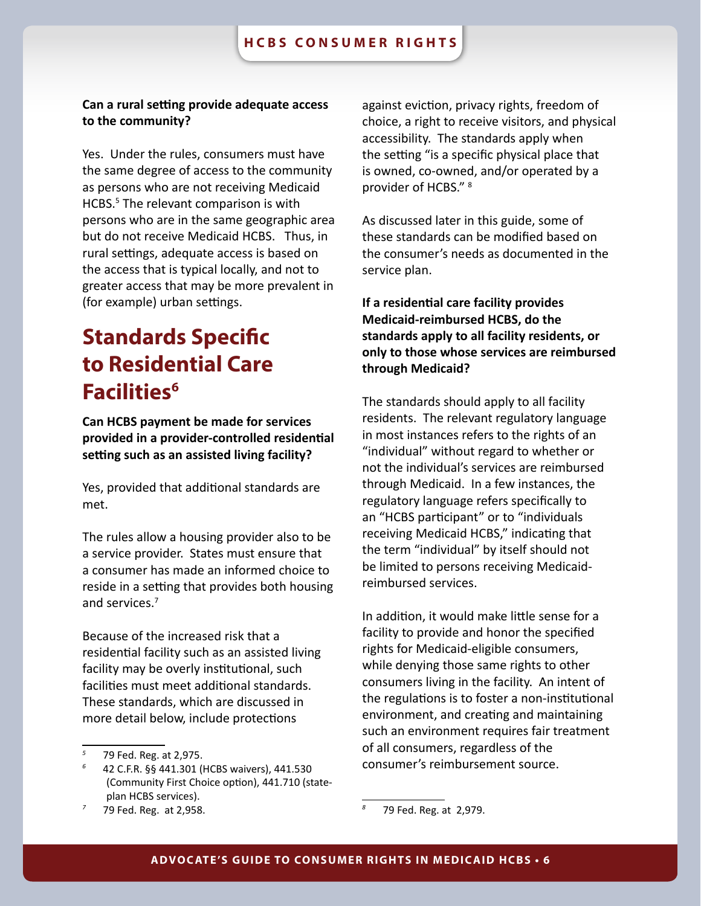### <span id="page-5-0"></span>**Can a rural setting provide adequate access to the community?**

Yes. Under the rules, consumers must have the same degree of access to the community as persons who are not receiving Medicaid HCBS.<sup>5</sup> The relevant comparison is with persons who are in the same geographic area but do not receive Medicaid HCBS. Thus, in rural settings, adequate access is based on the access that is typical locally, and not to greater access that may be more prevalent in (for example) urban settings.

# **Standards Specific to Residential Care Facilities6**

**Can HCBS payment be made for services provided in a provider-controlled residential setting such as an assisted living facility?**

Yes, provided that additional standards are met.

The rules allow a housing provider also to be a service provider. States must ensure that a consumer has made an informed choice to reside in a setting that provides both housing and services.7

Because of the increased risk that a residential facility such as an assisted living facility may be overly institutional, such facilities must meet additional standards. These standards, which are discussed in more detail below, include protections

against eviction, privacy rights, freedom of choice, a right to receive visitors, and physical accessibility. The standards apply when the setting "is a specific physical place that is owned, co-owned, and/or operated by a provider of HCBS." 8

As discussed later in this guide, some of these standards can be modified based on the consumer's needs as documented in the service plan.

**If a residential care facility provides Medicaid-reimbursed HCBS, do the standards apply to all facility residents, or only to those whose services are reimbursed through Medicaid?**

The standards should apply to all facility residents. The relevant regulatory language in most instances refers to the rights of an "individual" without regard to whether or not the individual's services are reimbursed through Medicaid. In a few instances, the regulatory language refers specifically to an "HCBS participant" or to "individuals receiving Medicaid HCBS," indicating that the term "individual" by itself should not be limited to persons receiving Medicaidreimbursed services.

In addition, it would make little sense for a facility to provide and honor the specified rights for Medicaid-eligible consumers, while denying those same rights to other consumers living in the facility. An intent of the regulations is to foster a non-institutional environment, and creating and maintaining such an environment requires fair treatment of all consumers, regardless of the consumer's reimbursement source.

*<sup>5</sup>* 79 Fed. Reg. at 2,975.

*<sup>6</sup>* 42 C.F.R. §§ 441.301 (HCBS waivers), 441.530 (Community First Choice option), 441.710 (stateplan HCBS services).

*<sup>7</sup>* 79 Fed. Reg. at 2,958.

*<sup>8</sup>* 79 Fed. Reg. at 2,979.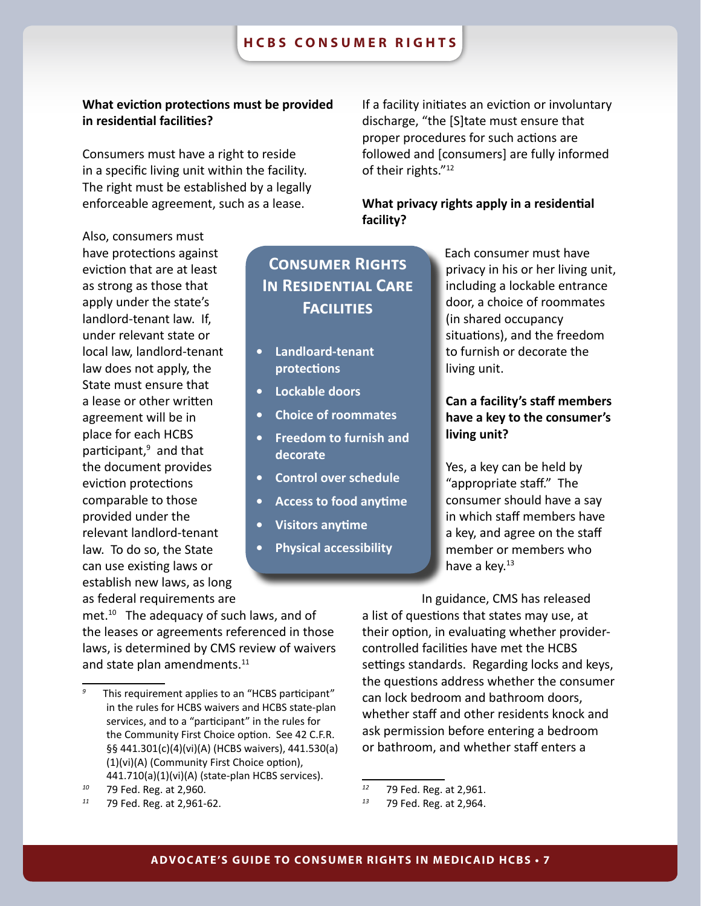# **What eviction protections must be provided in residential facilities?**

Consumers must have a right to reside in a specific living unit within the facility. The right must be established by a legally enforceable agreement, such as a lease.

If a facility initiates an eviction or involuntary discharge, "the [S]tate must ensure that proper procedures for such actions are followed and [consumers] are fully informed of their rights."12

# **What privacy rights apply in a residential facility?**

Also, consumers must have protections against eviction that are at least as strong as those that apply under the state's landlord-tenant law. If, under relevant state or local law, landlord-tenant law does not apply, the State must ensure that a lease or other written agreement will be in place for each HCBS participant,<sup>9</sup> and that the document provides eviction protections comparable to those provided under the relevant landlord-tenant law. To do so, the State can use existing laws or establish new laws, as long as federal requirements are

# **Consumer Rights In Residential Care Facilities**

- **• Landloard-tenant protections**
- **• Lockable doors**
- **• Choice of roommates**
- **• Freedom to furnish and decorate**
- **• Control over schedule**
- **• Access to food anytime**
- **• Visitors anytime**
- **• Physical accessibility**

Each consumer must have privacy in his or her living unit, including a lockable entrance door, a choice of roommates (in shared occupancy situations), and the freedom to furnish or decorate the living unit.

# **Can a facility's staff members have a key to the consumer's living unit?**

Yes, a key can be held by "appropriate staff." The consumer should have a say in which staff members have a key, and agree on the staff member or members who have a key. $13$ 

met. $10$  The adequacy of such laws, and of the leases or agreements referenced in those laws, is determined by CMS review of waivers and state plan amendments.<sup>11</sup>

In guidance, CMS has released a list of questions that states may use, at their option, in evaluating whether providercontrolled facilities have met the HCBS settings standards. Regarding locks and keys, the questions address whether the consumer can lock bedroom and bathroom doors, whether staff and other residents knock and ask permission before entering a bedroom or bathroom, and whether staff enters a

This requirement applies to an "HCBS participant" in the rules for HCBS waivers and HCBS state-plan services, and to a "participant" in the rules for the Community First Choice option. See 42 C.F.R. §§ 441.301(c)(4)(vi)(A) (HCBS waivers), 441.530(a) (1)(vi)(A) (Community First Choice option), 441.710(a)(1)(vi)(A) (state-plan HCBS services).

*<sup>10</sup>* 79 Fed. Reg. at 2,960.

*<sup>11</sup>* 79 Fed. Reg. at 2,961-62.

<sup>&</sup>lt;sup>12</sup> 79 Fed. Reg. at 2,961.<br><sup>13</sup> 70 Fed. Bog. at 2,064.

*<sup>13</sup>* 79 Fed. Reg. at 2,964.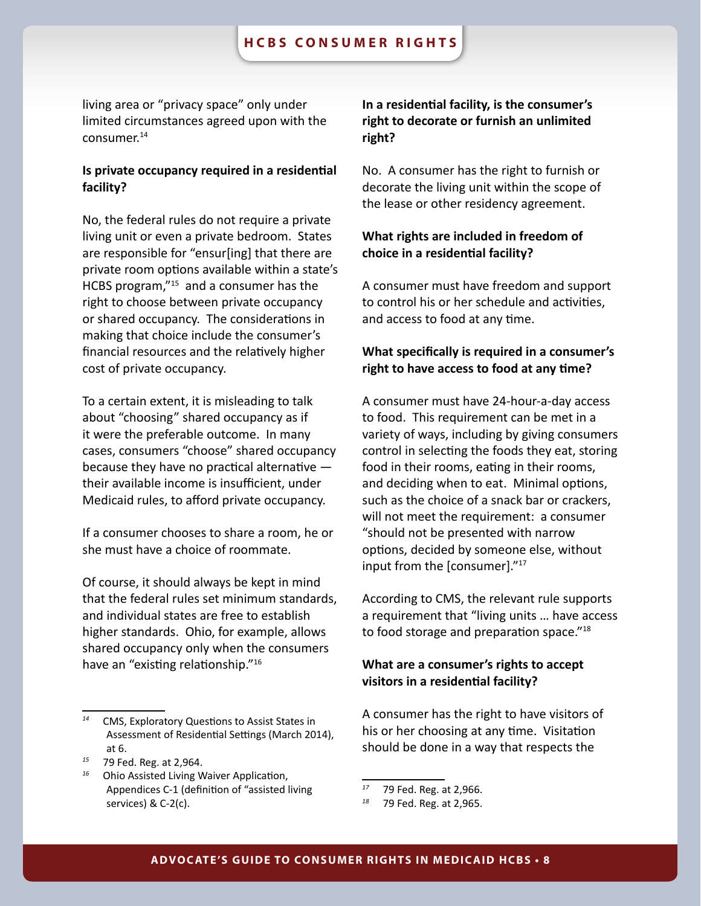living area or "privacy space" only under limited circumstances agreed upon with the consumer.14

# **Is private occupancy required in a residential facility?**

No, the federal rules do not require a private living unit or even a private bedroom. States are responsible for "ensur[ing] that there are private room options available within a state's HCBS program,"15 and a consumer has the right to choose between private occupancy or shared occupancy. The considerations in making that choice include the consumer's financial resources and the relatively higher cost of private occupancy.

To a certain extent, it is misleading to talk about "choosing" shared occupancy as if it were the preferable outcome. In many cases, consumers "choose" shared occupancy because they have no practical alternative their available income is insufficient, under Medicaid rules, to afford private occupancy.

If a consumer chooses to share a room, he or she must have a choice of roommate.

Of course, it should always be kept in mind that the federal rules set minimum standards, and individual states are free to establish higher standards. Ohio, for example, allows shared occupancy only when the consumers have an "existing relationship."16

# **In a residential facility, is the consumer's right to decorate or furnish an unlimited right?**

No. A consumer has the right to furnish or decorate the living unit within the scope of the lease or other residency agreement.

# **What rights are included in freedom of choice in a residential facility?**

A consumer must have freedom and support to control his or her schedule and activities, and access to food at any time.

# **What specifically is required in a consumer's right to have access to food at any time?**

A consumer must have 24-hour-a-day access to food. This requirement can be met in a variety of ways, including by giving consumers control in selecting the foods they eat, storing food in their rooms, eating in their rooms, and deciding when to eat. Minimal options, such as the choice of a snack bar or crackers, will not meet the requirement: a consumer "should not be presented with narrow options, decided by someone else, without input from the [consumer]."17

According to CMS, the relevant rule supports a requirement that "living units … have access to food storage and preparation space."18

# **What are a consumer's rights to accept visitors in a residential facility?**

A consumer has the right to have visitors of his or her choosing at any time. Visitation should be done in a way that respects the

*CMS, Exploratory Questions to Assist States in* Assessment of Residential Settings (March 2014), at 6.

*<sup>15</sup>* 79 Fed. Reg. at 2,964.

*<sup>16</sup>* Ohio Assisted Living Waiver Application, Appendices C-1 (definition of "assisted living services) & C-2(c).

*<sup>17</sup>* 79 Fed. Reg. at 2,966.

*<sup>18</sup>* 79 Fed. Reg. at 2,965.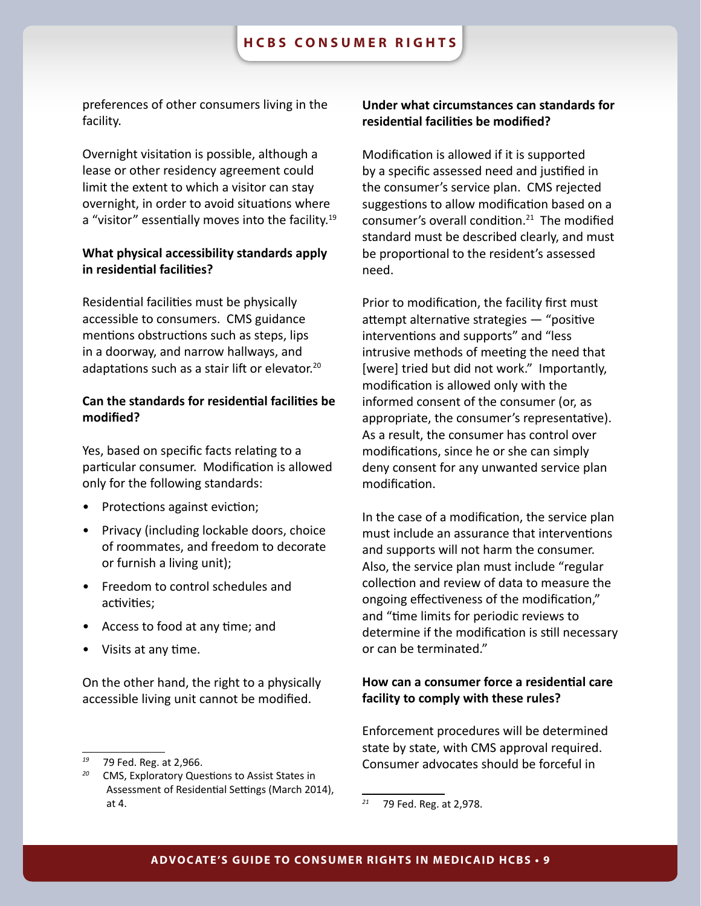<span id="page-8-0"></span>preferences of other consumers living in the facility.

Overnight visitation is possible, although a lease or other residency agreement could limit the extent to which a visitor can stay overnight, in order to avoid situations where a "visitor" essentially moves into the facility.<sup>19</sup>

# **What physical accessibility standards apply in residential facilities?**

Residential facilities must be physically accessible to consumers. CMS guidance mentions obstructions such as steps, lips in a doorway, and narrow hallways, and adaptations such as a stair lift or elevator.<sup>20</sup>

# **Can the standards for residential facilities be modified?**

Yes, based on specific facts relating to a particular consumer. Modification is allowed only for the following standards:

- Protections against eviction;
- Privacy (including lockable doors, choice of roommates, and freedom to decorate or furnish a living unit);
- Freedom to control schedules and activities;
- Access to food at any time; and
- Visits at any time.

On the other hand, the right to a physically accessible living unit cannot be modified.

# **Under what circumstances can standards for residential facilities be modified?**

Modification is allowed if it is supported by a specific assessed need and justified in the consumer's service plan. CMS rejected suggestions to allow modification based on a consumer's overall condition.21 The modified standard must be described clearly, and must be proportional to the resident's assessed need.

Prior to modification, the facility first must attempt alternative strategies — "positive interventions and supports" and "less intrusive methods of meeting the need that [were] tried but did not work." Importantly, modification is allowed only with the informed consent of the consumer (or, as appropriate, the consumer's representative). As a result, the consumer has control over modifications, since he or she can simply deny consent for any unwanted service plan modification.

In the case of a modification, the service plan must include an assurance that interventions and supports will not harm the consumer. Also, the service plan must include "regular collection and review of data to measure the ongoing effectiveness of the modification," and "time limits for periodic reviews to determine if the modification is still necessary or can be terminated."

# **How can a consumer force a residential care facility to comply with these rules?**

Enforcement procedures will be determined state by state, with CMS approval required. Consumer advocates should be forceful in

*<sup>19</sup>* 79 Fed. Reg. at 2,966.

*<sup>20</sup>* CMS, Exploratory Questions to Assist States in Assessment of Residential Settings (March 2014), at 4.

*<sup>21</sup>* 79 Fed. Reg. at 2,978.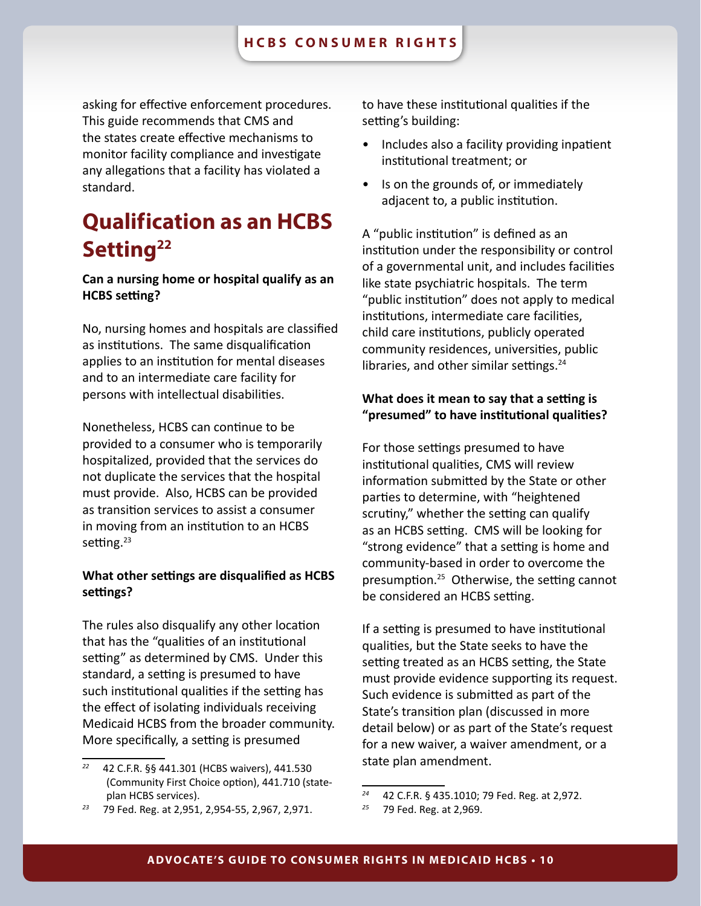asking for effective enforcement procedures. This guide recommends that CMS and the states create effective mechanisms to monitor facility compliance and investigate any allegations that a facility has violated a standard.

# **Qualification as an HCBS Setting22**

# **Can a nursing home or hospital qualify as an HCBS setting?**

No, nursing homes and hospitals are classified as institutions. The same disqualification applies to an institution for mental diseases and to an intermediate care facility for persons with intellectual disabilities.

Nonetheless, HCBS can continue to be provided to a consumer who is temporarily hospitalized, provided that the services do not duplicate the services that the hospital must provide. Also, HCBS can be provided as transition services to assist a consumer in moving from an institution to an HCBS setting.<sup>23</sup>

# **What other settings are disqualified as HCBS settings?**

The rules also disqualify any other location that has the "qualities of an institutional setting" as determined by CMS. Under this standard, a setting is presumed to have such institutional qualities if the setting has the effect of isolating individuals receiving Medicaid HCBS from the broader community. More specifically, a setting is presumed

to have these institutional qualities if the setting's building:

- Includes also a facility providing inpatient institutional treatment; or
- Is on the grounds of, or immediately adjacent to, a public institution.

A "public institution" is defined as an institution under the responsibility or control of a governmental unit, and includes facilities like state psychiatric hospitals. The term "public institution" does not apply to medical institutions, intermediate care facilities, child care institutions, publicly operated community residences, universities, public libraries, and other similar settings.<sup>24</sup>

# **What does it mean to say that a setting is "presumed" to have institutional qualities?**

For those settings presumed to have institutional qualities, CMS will review information submitted by the State or other parties to determine, with "heightened scrutiny," whether the setting can qualify as an HCBS setting. CMS will be looking for "strong evidence" that a setting is home and community-based in order to overcome the presumption.25 Otherwise, the setting cannot be considered an HCBS setting.

If a setting is presumed to have institutional qualities, but the State seeks to have the setting treated as an HCBS setting, the State must provide evidence supporting its request. Such evidence is submitted as part of the State's transition plan (discussed in more detail below) or as part of the State's request for a new waiver, a waiver amendment, or a state plan amendment.

*<sup>22</sup>* 42 C.F.R. §§ 441.301 (HCBS waivers), 441.530 (Community First Choice option), 441.710 (stateplan HCBS services).

*<sup>23</sup>* 79 Fed. Reg. at 2,951, 2,954-55, 2,967, 2,971.

*<sup>24</sup>* 42 C.F.R. § 435.1010; 79 Fed. Reg. at 2,972.

*<sup>25</sup>* 79 Fed. Reg. at 2,969.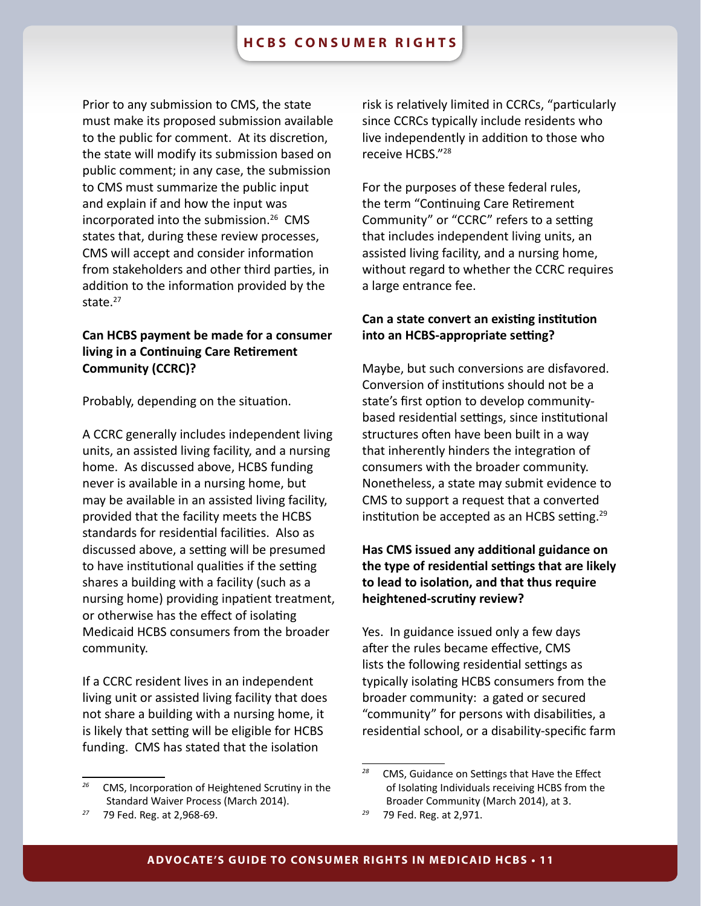Prior to any submission to CMS, the state must make its proposed submission available to the public for comment. At its discretion, the state will modify its submission based on public comment; in any case, the submission to CMS must summarize the public input and explain if and how the input was incorporated into the submission.26 CMS states that, during these review processes, CMS will accept and consider information from stakeholders and other third parties, in addition to the information provided by the state.<sup>27</sup>

# **Can HCBS payment be made for a consumer living in a Continuing Care Retirement Community (CCRC)?**

Probably, depending on the situation.

A CCRC generally includes independent living units, an assisted living facility, and a nursing home. As discussed above, HCBS funding never is available in a nursing home, but may be available in an assisted living facility, provided that the facility meets the HCBS standards for residential facilities. Also as discussed above, a setting will be presumed to have institutional qualities if the setting shares a building with a facility (such as a nursing home) providing inpatient treatment, or otherwise has the effect of isolating Medicaid HCBS consumers from the broader community.

If a CCRC resident lives in an independent living unit or assisted living facility that does not share a building with a nursing home, it is likely that setting will be eligible for HCBS funding. CMS has stated that the isolation

risk is relatively limited in CCRCs, "particularly since CCRCs typically include residents who live independently in addition to those who receive HCBS."28

For the purposes of these federal rules, the term "Continuing Care Retirement Community" or "CCRC" refers to a setting that includes independent living units, an assisted living facility, and a nursing home, without regard to whether the CCRC requires a large entrance fee.

# **Can a state convert an existing institution into an HCBS-appropriate setting?**

Maybe, but such conversions are disfavored. Conversion of institutions should not be a state's first option to develop communitybased residential settings, since institutional structures often have been built in a way that inherently hinders the integration of consumers with the broader community. Nonetheless, a state may submit evidence to CMS to support a request that a converted institution be accepted as an HCBS setting.<sup>29</sup>

# **Has CMS issued any additional guidance on the type of residential settings that are likely to lead to isolation, and that thus require heightened-scrutiny review?**

Yes. In guidance issued only a few days after the rules became effective, CMS lists the following residential settings as typically isolating HCBS consumers from the broader community: a gated or secured "community" for persons with disabilities, a residential school, or a disability-specific farm

*<sup>26</sup>* CMS, Incorporation of Heightened Scrutiny in the Standard Waiver Process (March 2014).

*<sup>27</sup>* 79 Fed. Reg. at 2,968-69.

*<sup>28</sup>* CMS, Guidance on Settings that Have the Effect of Isolating Individuals receiving HCBS from the Broader Community (March 2014), at 3.

*<sup>29</sup>* 79 Fed. Reg. at 2,971.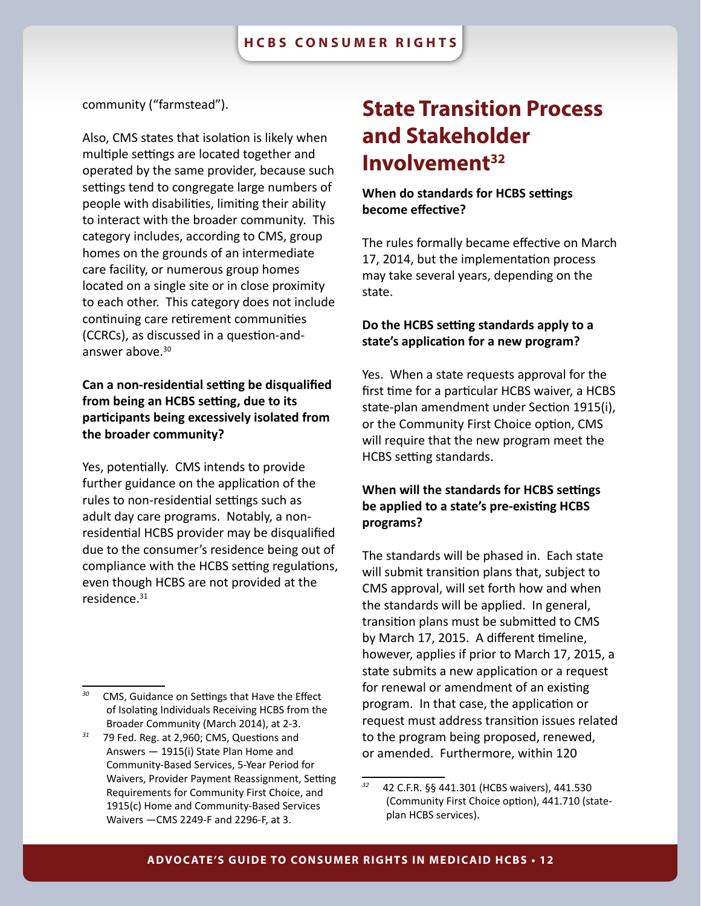### <span id="page-11-0"></span>community ("farmstead").

Also, CMS states that isolation is likely when multiple settings are located together and operated by the same provider, because such settings tend to congregate large numbers of people with disabilities, limiting their ability to interact with the broader community. This category includes, according to CMS, group homes on the grounds of an intermediate care facility, or numerous group homes located on a single site or in close proximity to each other. This category does not include continuing care retirement communities (CCRCs), as discussed in a question-andanswer above.30

# **Can a non-residential setting be disqualified from being an HCBS setting, due to its participants being excessively isolated from the broader community?**

Yes, potentially. CMS intends to provide further guidance on the application of the rules to non-residential settings such as adult day care programs. Notably, a nonresidential HCBS provider may be disqualified due to the consumer's residence being out of compliance with the HCBS setting regulations, even though HCBS are not provided at the residence.31

# **State Transition Process and Stakeholder Involvement32**

# **When do standards for HCBS settings become effective?**

The rules formally became effective on March 17, 2014, but the implementation process may take several years, depending on the state.

### **Do the HCBS setting standards apply to a state's application for a new program?**

Yes. When a state requests approval for the first time for a particular HCBS waiver, a HCBS state-plan amendment under Section 1915(i), or the Community First Choice option, CMS will require that the new program meet the HCBS setting standards.

# **When will the standards for HCBS settings be applied to a state's pre-existing HCBS programs?**

The standards will be phased in. Each state will submit transition plans that, subject to CMS approval, will set forth how and when the standards will be applied. In general, transition plans must be submitted to CMS by March 17, 2015. A different timeline, however, applies if prior to March 17, 2015, a state submits a new application or a request for renewal or amendment of an existing program. In that case, the application or request must address transition issues related to the program being proposed, renewed, or amended. Furthermore, within 120

*<sup>30</sup>* CMS, Guidance on Settings that Have the Effect of Isolating Individuals Receiving HCBS from the Broader Community (March 2014), at 2-3.

*<sup>31</sup>* 79 Fed. Reg. at 2,960; CMS, Questions and Answers — 1915(i) State Plan Home and Community-Based Services, 5-Year Period for Waivers, Provider Payment Reassignment, Setting Requirements for Community First Choice, and 1915(c) Home and Community-Based Services Waivers —CMS 2249-F and 2296-F, at 3.

*<sup>32</sup>* 42 C.F.R. §§ 441.301 (HCBS waivers), 441.530 (Community First Choice option), 441.710 (stateplan HCBS services).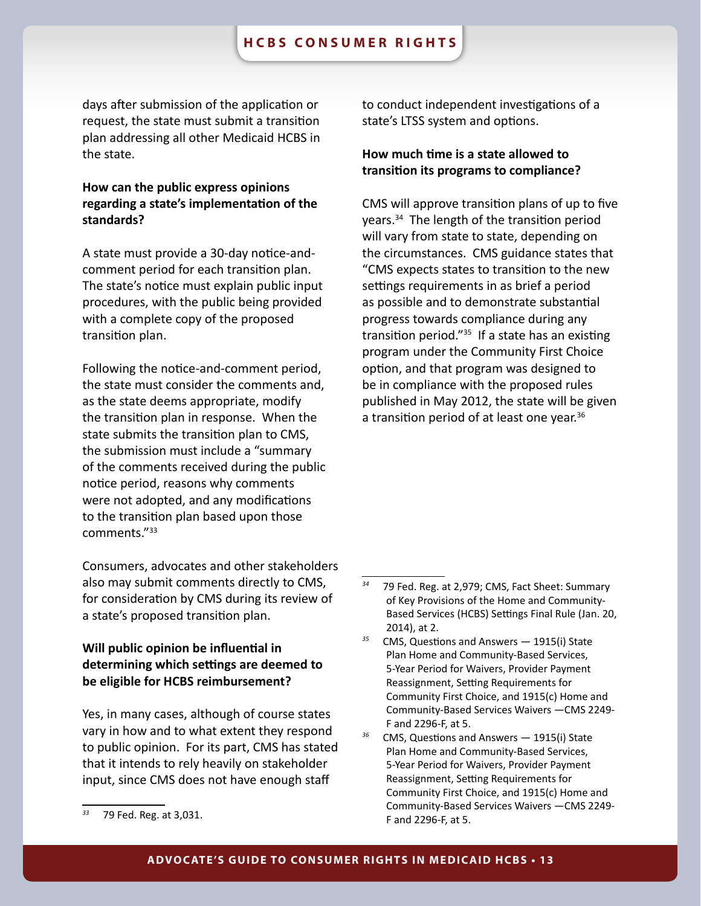### **hcbs consumer rights**

days after submission of the application or request, the state must submit a transition plan addressing all other Medicaid HCBS in the state.

# **How can the public express opinions regarding a state's implementation of the standards?**

A state must provide a 30-day notice-andcomment period for each transition plan. The state's notice must explain public input procedures, with the public being provided with a complete copy of the proposed transition plan.

Following the notice-and-comment period, the state must consider the comments and, as the state deems appropriate, modify the transition plan in response. When the state submits the transition plan to CMS, the submission must include a "summary of the comments received during the public notice period, reasons why comments were not adopted, and any modifications to the transition plan based upon those comments."33

Consumers, advocates and other stakeholders also may submit comments directly to CMS, for consideration by CMS during its review of a state's proposed transition plan.

# **Will public opinion be influential in determining which settings are deemed to be eligible for HCBS reimbursement?**

Yes, in many cases, although of course states vary in how and to what extent they respond to public opinion. For its part, CMS has stated that it intends to rely heavily on stakeholder input, since CMS does not have enough staff

to conduct independent investigations of a state's LTSS system and options.

# **How much time is a state allowed to transition its programs to compliance?**

CMS will approve transition plans of up to five years.34 The length of the transition period will vary from state to state, depending on the circumstances. CMS guidance states that "CMS expects states to transition to the new settings requirements in as brief a period as possible and to demonstrate substantial progress towards compliance during any transition period." $35$  If a state has an existing program under the Community First Choice option, and that program was designed to be in compliance with the proposed rules published in May 2012, the state will be given a transition period of at least one year.<sup>36</sup>

*<sup>33</sup>* 79 Fed. Reg. at 3,031.

*<sup>34</sup>* 79 Fed. Reg. at 2,979; CMS, Fact Sheet: Summary of Key Provisions of the Home and Community-Based Services (HCBS) Settings Final Rule (Jan. 20, 2014), at 2.

*<sup>35</sup>* CMS, Questions and Answers — 1915(i) State Plan Home and Community-Based Services, 5-Year Period for Waivers, Provider Payment Reassignment, Setting Requirements for Community First Choice, and 1915(c) Home and Community-Based Services Waivers —CMS 2249- F and 2296-F, at 5.

*<sup>36</sup>* CMS, Questions and Answers — 1915(i) State Plan Home and Community-Based Services, 5-Year Period for Waivers, Provider Payment Reassignment, Setting Requirements for Community First Choice, and 1915(c) Home and Community-Based Services Waivers —CMS 2249- F and 2296-F, at 5.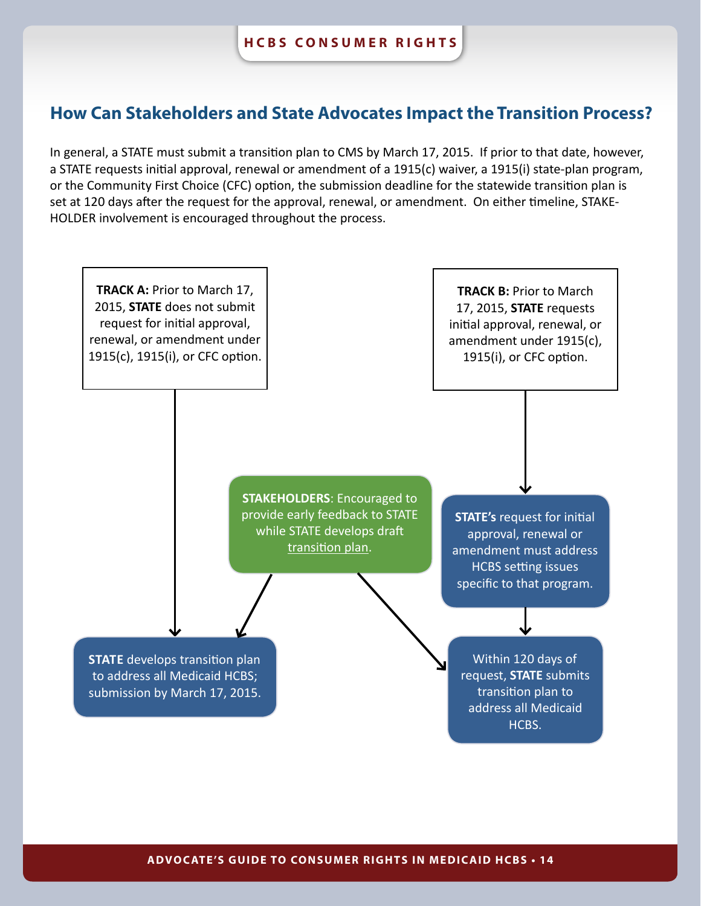# **How Can Stakeholders and State Advocates Impact the Transition Process?**

In general, a STATE must submit a transition plan to CMS by March 17, 2015. If prior to that date, however, a STATE requests initial approval, renewal or amendment of a 1915(c) waiver, a 1915(i) state-plan program, or the Community First Choice (CFC) option, the submission deadline for the statewide transition plan is set at 120 days after the request for the approval, renewal, or amendment. On either timeline, STAKE-HOLDER involvement is encouraged throughout the process.

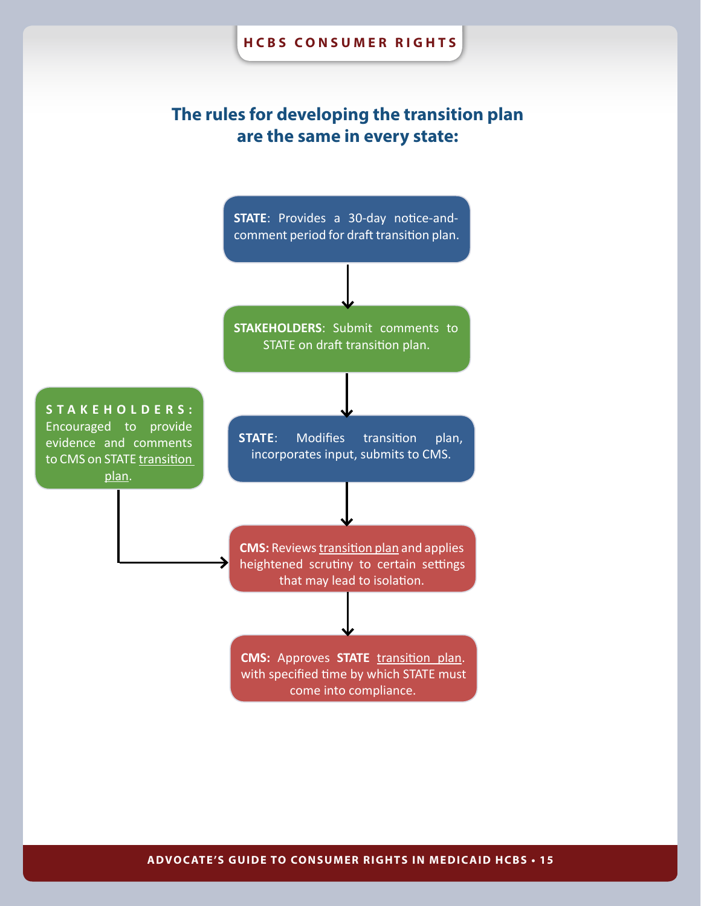# **The rules for developing the transition plan are the same in every state:**

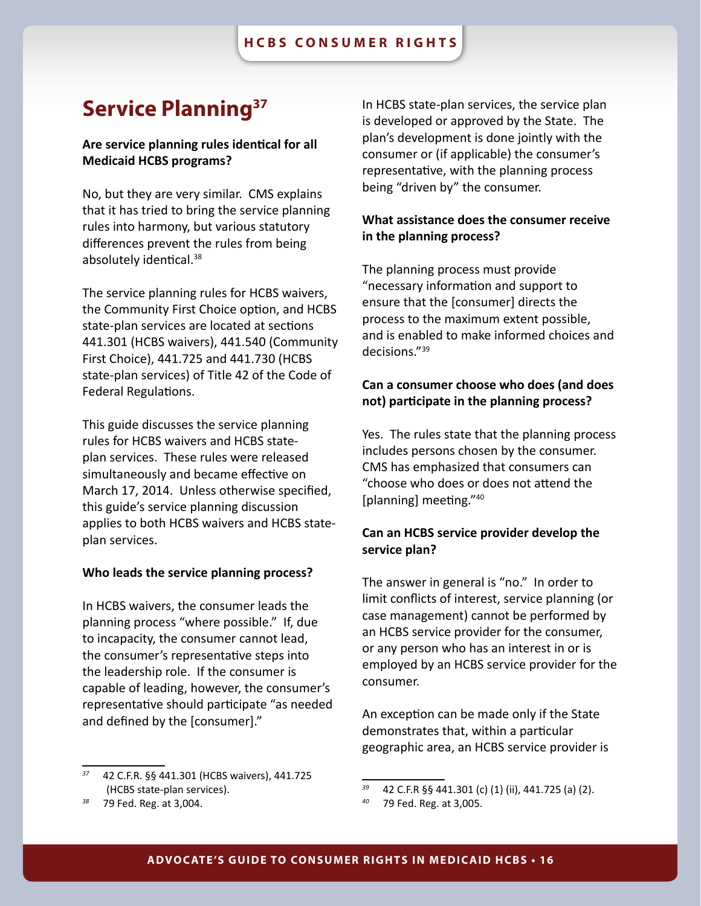# <span id="page-15-0"></span>**Service Planning37**

### **Are service planning rules identical for all Medicaid HCBS programs?**

No, but they are very similar. CMS explains that it has tried to bring the service planning rules into harmony, but various statutory differences prevent the rules from being absolutely identical.38

The service planning rules for HCBS waivers, the Community First Choice option, and HCBS state-plan services are located at sections 441.301 (HCBS waivers), 441.540 (Community First Choice), 441.725 and 441.730 (HCBS state-plan services) of Title 42 of the Code of Federal Regulations.

This guide discusses the service planning rules for HCBS waivers and HCBS stateplan services. These rules were released simultaneously and became effective on March 17, 2014. Unless otherwise specified, this guide's service planning discussion applies to both HCBS waivers and HCBS stateplan services.

#### **Who leads the service planning process?**

In HCBS waivers, the consumer leads the planning process "where possible." If, due to incapacity, the consumer cannot lead, the consumer's representative steps into the leadership role. If the consumer is capable of leading, however, the consumer's representative should participate "as needed and defined by the [consumer]."

In HCBS state-plan services, the service plan is developed or approved by the State. The plan's development is done jointly with the consumer or (if applicable) the consumer's representative, with the planning process being "driven by" the consumer.

# **What assistance does the consumer receive in the planning process?**

The planning process must provide "necessary information and support to ensure that the [consumer] directs the process to the maximum extent possible, and is enabled to make informed choices and decisions."39

# **Can a consumer choose who does (and does not) participate in the planning process?**

Yes. The rules state that the planning process includes persons chosen by the consumer. CMS has emphasized that consumers can "choose who does or does not attend the [planning] meeting."40

# **Can an HCBS service provider develop the service plan?**

The answer in general is "no." In order to limit conflicts of interest, service planning (or case management) cannot be performed by an HCBS service provider for the consumer, or any person who has an interest in or is employed by an HCBS service provider for the consumer.

An exception can be made only if the State demonstrates that, within a particular geographic area, an HCBS service provider is

*<sup>37</sup>* 42 C.F.R. §§ 441.301 (HCBS waivers), 441.725 (HCBS state-plan services).

*<sup>38</sup>* 79 Fed. Reg. at 3,004.

<sup>&</sup>lt;sup>39</sup> 42 C.F.R §§ 441.301 (c) (1) (ii), 441.725 (a) (2).<br><sup>40</sup> 79 Fed. Reg. at 3.005

*<sup>40</sup>* 79 Fed. Reg. at 3,005.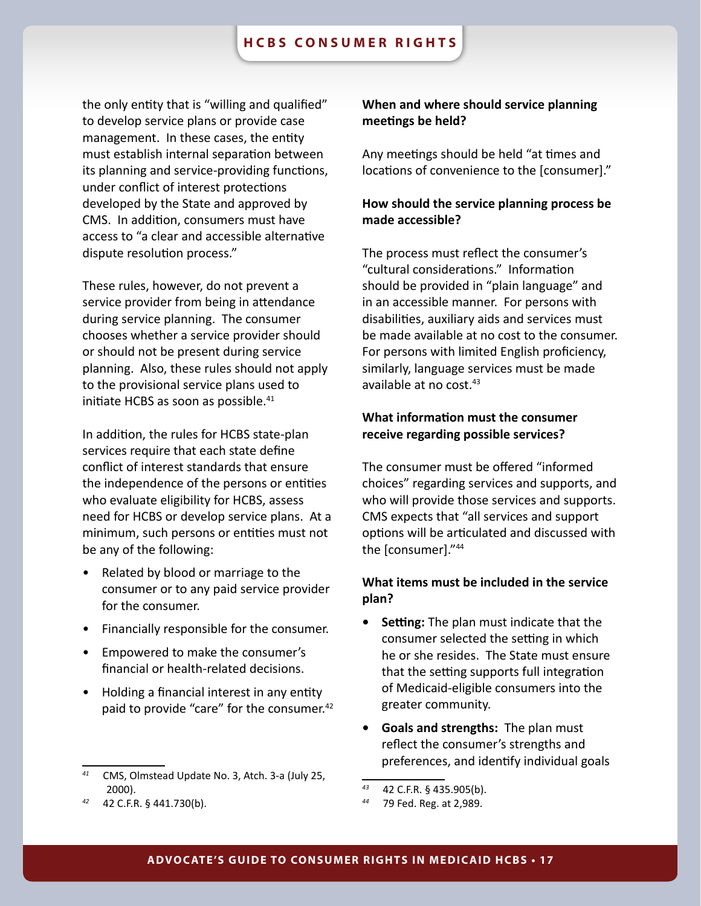the only entity that is "willing and qualified" to develop service plans or provide case management. In these cases, the entity must establish internal separation between its planning and service-providing functions, under conflict of interest protections developed by the State and approved by CMS. In addition, consumers must have access to "a clear and accessible alternative dispute resolution process."

These rules, however, do not prevent a service provider from being in attendance during service planning. The consumer chooses whether a service provider should or should not be present during service planning. Also, these rules should not apply to the provisional service plans used to initiate HCBS as soon as possible.<sup>41</sup>

In addition, the rules for HCBS state-plan services require that each state define conflict of interest standards that ensure the independence of the persons or entities who evaluate eligibility for HCBS, assess need for HCBS or develop service plans. At a minimum, such persons or entities must not be any of the following:

- Related by blood or marriage to the consumer or to any paid service provider for the consumer.
- Financially responsible for the consumer.
- Empowered to make the consumer's financial or health-related decisions.
- Holding a financial interest in any entity paid to provide "care" for the consumer.<sup>42</sup>

*<sup>42</sup>* 42 C.F.R. § 441.730(b).

# **When and where should service planning meetings be held?**

Any meetings should be held "at times and locations of convenience to the [consumer]."

# **How should the service planning process be made accessible?**

The process must reflect the consumer's "cultural considerations." Information should be provided in "plain language" and in an accessible manner. For persons with disabilities, auxiliary aids and services must be made available at no cost to the consumer. For persons with limited English proficiency, similarly, language services must be made available at no cost.43

# **What information must the consumer receive regarding possible services?**

The consumer must be offered "informed choices" regarding services and supports, and who will provide those services and supports. CMS expects that "all services and support options will be articulated and discussed with the [consumer]."44

# **What items must be included in the service plan?**

- **• Setting:** The plan must indicate that the consumer selected the setting in which he or she resides. The State must ensure that the setting supports full integration of Medicaid-eligible consumers into the greater community.
- **• Goals and strengths:** The plan must reflect the consumer's strengths and preferences, and identify individual goals

*<sup>41</sup>* CMS, Olmstead Update No. 3, Atch. 3-a (July 25, 2000).

*<sup>43</sup>* 42 C.F.R. § 435.905(b).

*<sup>44</sup>* 79 Fed. Reg. at 2,989.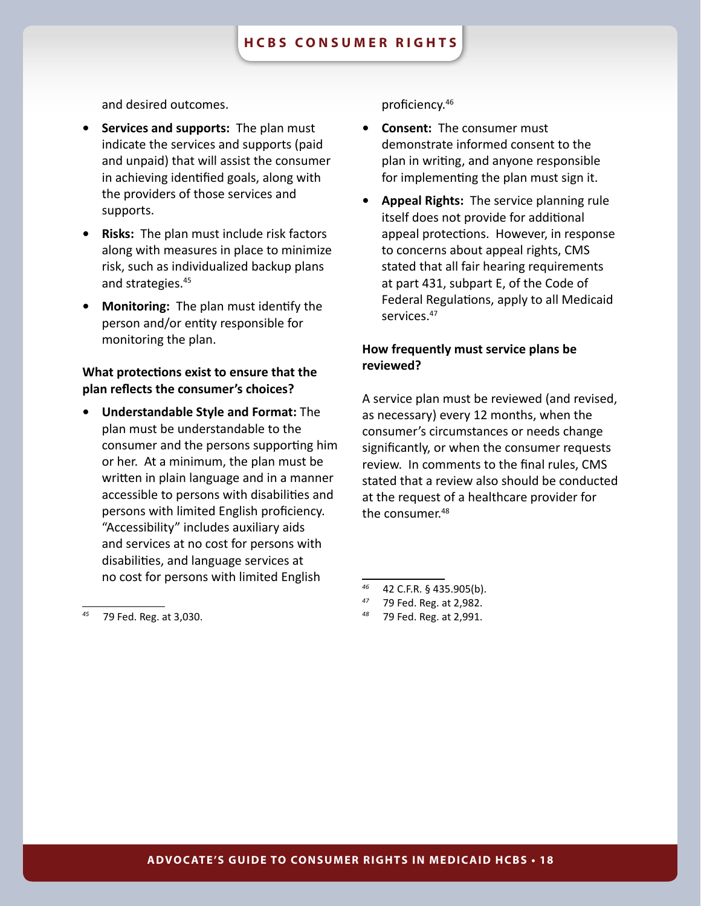and desired outcomes.

- **• Services and supports:** The plan must indicate the services and supports (paid and unpaid) that will assist the consumer in achieving identified goals, along with the providers of those services and supports.
- **• Risks:** The plan must include risk factors along with measures in place to minimize risk, such as individualized backup plans and strategies.45
- **• Monitoring:** The plan must identify the person and/or entity responsible for monitoring the plan.

# **What protections exist to ensure that the plan reflects the consumer's choices?**

**• Understandable Style and Format:** The plan must be understandable to the consumer and the persons supporting him or her. At a minimum, the plan must be written in plain language and in a manner accessible to persons with disabilities and persons with limited English proficiency. "Accessibility" includes auxiliary aids and services at no cost for persons with disabilities, and language services at no cost for persons with limited English

- **• Consent:** The consumer must demonstrate informed consent to the plan in writing, and anyone responsible for implementing the plan must sign it.
- **• Appeal Rights:** The service planning rule itself does not provide for additional appeal protections. However, in response to concerns about appeal rights, CMS stated that all fair hearing requirements at part 431, subpart E, of the Code of Federal Regulations, apply to all Medicaid services.<sup>47</sup>

# **How frequently must service plans be reviewed?**

A service plan must be reviewed (and revised, as necessary) every 12 months, when the consumer's circumstances or needs change significantly, or when the consumer requests review. In comments to the final rules, CMS stated that a review also should be conducted at the request of a healthcare provider for the consumer.<sup>48</sup>

*<sup>48</sup>* 79 Fed. Reg. at 2,991.

*<sup>45</sup>* 79 Fed. Reg. at 3,030.

proficiency.46

*<sup>46</sup>* 42 C.F.R. § 435.905(b).

*<sup>47</sup>* 79 Fed. Reg. at 2,982.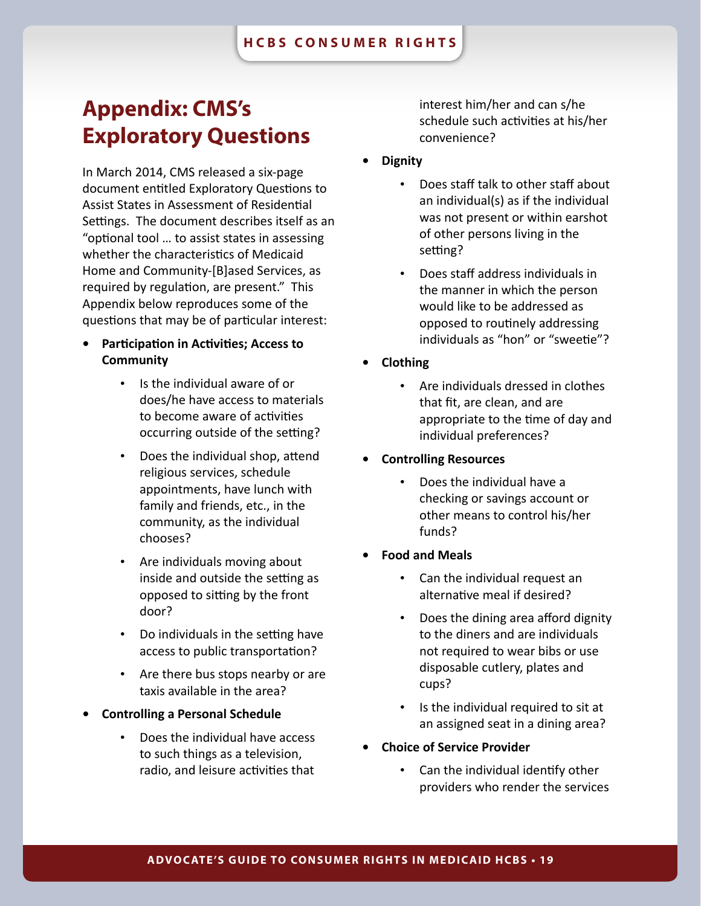# <span id="page-18-0"></span>**Appendix: CMS's Exploratory Questions**

In March 2014, CMS released a six-page document entitled Exploratory Questions to Assist States in Assessment of Residential Settings. The document describes itself as an "optional tool … to assist states in assessing whether the characteristics of Medicaid Home and Community-[B]ased Services, as required by regulation, are present." This Appendix below reproduces some of the questions that may be of particular interest:

- **• Participation in Activities; Access to Community**
	- Is the individual aware of or does/he have access to materials to become aware of activities occurring outside of the setting?
	- Does the individual shop, attend religious services, schedule appointments, have lunch with family and friends, etc., in the community, as the individual chooses?
	- Are individuals moving about inside and outside the setting as opposed to sitting by the front door?
	- Do individuals in the setting have access to public transportation?
	- Are there bus stops nearby or are taxis available in the area?
- **• Controlling a Personal Schedule**
	- Does the individual have access to such things as a television, radio, and leisure activities that

interest him/her and can s/he schedule such activities at his/her convenience?

- **• Dignity**
	- Does staff talk to other staff about an individual(s) as if the individual was not present or within earshot of other persons living in the setting?
	- Does staff address individuals in the manner in which the person would like to be addressed as opposed to routinely addressing individuals as "hon" or "sweetie"?
- **• Clothing**
	- Are individuals dressed in clothes that fit, are clean, and are appropriate to the time of day and individual preferences?
- **• Controlling Resources**
	- Does the individual have a checking or savings account or other means to control his/her funds?
- **• Food and Meals**
	- Can the individual request an alternative meal if desired?
	- Does the dining area afford dignity to the diners and are individuals not required to wear bibs or use disposable cutlery, plates and cups?
	- Is the individual required to sit at an assigned seat in a dining area?
- **• Choice of Service Provider**
	- Can the individual identify other providers who render the services